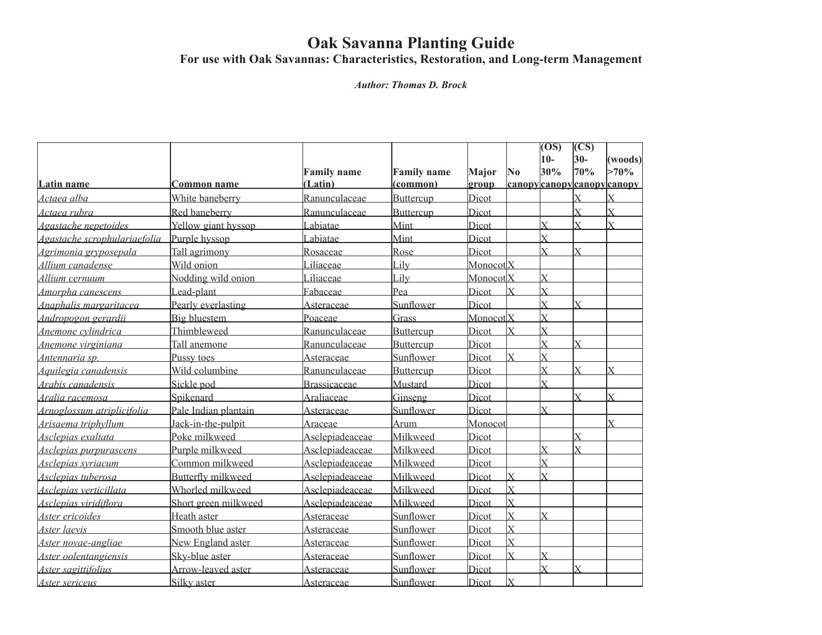## **Oak Savanna Planting Guide**

**For use with Oak Savannas: Characteristics, Restoration, and Long-term Management**

*Author: Thomas D. Brock*

|                              |                           |                    |                    |                      |                         | (OS)                    | <b>CS</b>      |                          |
|------------------------------|---------------------------|--------------------|--------------------|----------------------|-------------------------|-------------------------|----------------|--------------------------|
|                              |                           |                    |                    |                      |                         | $10-$                   | $30-$          | (woods)                  |
|                              |                           | <b>Family name</b> | <b>Family name</b> | Major                | $\bf No$                | 30%                     | 70%            | $>70\%$                  |
| Latin name                   | Common name               | (Latin)            | (common)           | group                |                         |                         |                | canopycanopycanopycanopy |
| Actaea alba                  | White baneberry           | Ranunculaceae      | <b>Buttercup</b>   | Dicot                |                         |                         |                |                          |
| Actaea rubra                 | Red baneberry             | Ranunculaceae      | Buttercup          | Dicot                |                         |                         | V              | $\overline{X}$           |
| Agastache nepetoides         | Yellow giant hyssop       | Labiatae           | Mint               | Dicot                |                         | $\bar{X}$               |                |                          |
| Agastache scrophulariaefolia | Purple hyssop             | abiatae            | Mint               | Dicot                |                         | v                       |                |                          |
| Agrimonia gryposepala        | Tall agrimony             | Rosaceae           | Rose               | Dicot                |                         |                         |                |                          |
| Allium canadense             | Wild onion                | Liliaceae          | Lilv               | Monocot <sub>X</sub> |                         |                         |                |                          |
| Allium cernuum               | Nodding wild onion        | Liliaceae          | Lilv               | MonocotlX            |                         | $\bar{X}$               |                |                          |
| Amorpha canescens            | Lead-plant                | Fabaceae           | Pea                | Dicot                | $\bar{X}$               | $\bar{X}$               |                |                          |
| Anaphalis margaritacea       | Pearly everlasting        | Asteraceae         | Sunflower          | Dicot                |                         | $\overline{X}$          | $\overline{X}$ |                          |
| Andropogon gerardii          | <b>Big bluestem</b>       | Poaceae            | Grass              | Monocot <sub>X</sub> |                         | $\bar{x}$               |                |                          |
| Anemone cvlindrica           | Thimbleweed               | Ranunculaceae      | Buttercup          | Dicot                | $\mathbf x$             | $\bar{x}$               |                |                          |
| Anemone virginiana           | Tall anemone              | Ranunculaceae      | Buttercup          | Dicot                |                         | V                       |                |                          |
| Antennaria sp.               | Pussy toes                | Asteraceae         | Sunflower          | Dicot                |                         | $\bar{\mathbf{Y}}$      |                |                          |
| Aquilegia canadensis         | Wild columbine            | Ranunculaceae      | Buttercup          | Dicot                |                         | $\bar{\mathbf{Y}}$      |                |                          |
| Arabis canadensis            | Sickle pod                | Brassicaceae       | Mustard            | Dicot                |                         | $\bar{X}$               |                |                          |
| Aralia racemosa              | Spikenard                 | Araliaceae         | Ginseng            | Dicot                |                         |                         | Y              | Y                        |
| Arnoglossum atriplicifolia   | Pale Indian plantain      | Asteraceae         | Sunflower          | Dicot                |                         | $\bar{x}$               |                |                          |
| Arisaema triphyllum          | Jack-in-the-pulpit        | Araceae            | Arum               | Monocot              |                         |                         |                | $\bar{\mathbf{x}}$       |
| Asclepias exaltata           | Poke milkweed             | Asclepiadeaceae    | Milkweed           | Dicot                |                         |                         | X              |                          |
| Asclepias purpurascens       | Purple milkweed           | Asclepiadeaceae    | Milkweed           | Dicot                |                         | Y                       | Y              |                          |
| Asclepias svriacum           | Common milkweed           | Asclepiadeaceae    | Milkweed           | Dicot                |                         | $\bar{x}$               |                |                          |
| Asclepias tuberosa           | <b>Butterfly milkweed</b> | Asclepiadeaceae    | Milkweed           | Dicot                | $\bar{X}$               | $\bar{\mathbf{Y}}$      |                |                          |
| Asclepias verticillata       | Whorled milkweed          | Asclepiadeaceae    | Milkweed           | Dicot                | $\overline{\mathrm{X}}$ |                         |                |                          |
| Asclepias viridiflora        | Short green milkweed      | Asclepiadeaceae    | Milkweed           | Dicot                | $\overline{\mathrm{X}}$ |                         |                |                          |
| Aster ericoides              | Heath aster               | Asteraceae         | Sunflower          | Dicot                | $\overline{\mathbf{x}}$ | $\overline{\mathbf{x}}$ |                |                          |
| Aster laevis                 | Smooth blue aster         | Asteraceae         | Sunflower          | Dicot                | $\overline{X}$          |                         |                |                          |
| Aster novae-angliae          | New England aster         | Asteraceae         | Sunflower          | Dicot                | $\overline{X}$          |                         |                |                          |
| Aster oolentangiensis        | Sky-blue aster            | Asteraceae         | Sunflower          | Dicot                | $\overline{X}$          | $\bar{x}$               |                |                          |
| Aster sagittifolius          | Arrow-leaved aster        | Asteraceae         | Sunflower          | Dicot                |                         | $\bar{\mathbf{Y}}$      | Y              |                          |
| Aster sericeus               | <b>Silky</b> aster        | Asteraceae         | Sunflower          | Dicot                | $\mathbf x$             |                         |                |                          |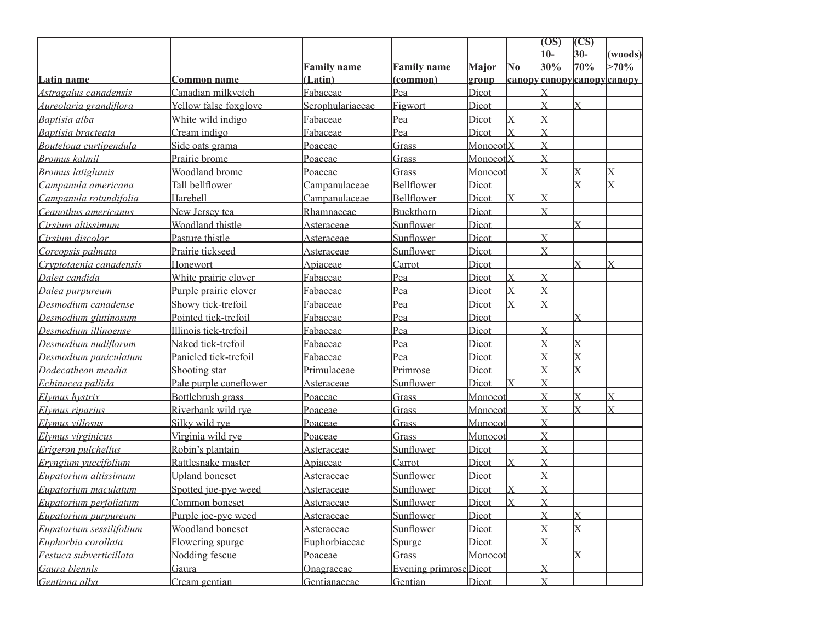|                          |                        |                    |                       |                      |                           | $\overline{(\overline{OS})}$ | <b>CS</b>      |                                     |
|--------------------------|------------------------|--------------------|-----------------------|----------------------|---------------------------|------------------------------|----------------|-------------------------------------|
|                          |                        |                    |                       |                      |                           | $10-$                        | $30-$          | (woods)                             |
|                          |                        | <b>Family name</b> | <b>Family name</b>    | Major                | $\overline{\text{No}}$    | 30%                          | 70%            | $>70\%$                             |
| Latin name               | <b>Common name</b>     | (Latin)            | (common)              | group                |                           |                              |                | <u> canopy canopy canopy canopy</u> |
| Astragalus canadensis    | Canadian milkvetch     | Fabaceae           | Pea                   | Dicot                |                           |                              |                |                                     |
| Aureolaria grandiflora   | Yellow false foxglove  | Scrophulariaceae   | Figwort               | Dicot                |                           | $\bar{x}$                    | $\bar{x}$      |                                     |
| Baptisia alba            | White wild indigo      | Fabaceae           | Pea                   | Dicot                | $\overline{\mathrm{X}}$   | $\overline{X}$               |                |                                     |
| Baptisia bracteata       | Cream indigo           | Fabaceae           | Pea                   | Dicot                | $\bar{X}$                 | $\bar{X}$                    |                |                                     |
| Bouteloua curtipendula   | Side oats grama        | Poaceae            | Grass                 | Monocot <sub>X</sub> |                           | $\bar{x}$                    |                |                                     |
| <b>Bromus kalmii</b>     | Prairie brome          | Poaceae            | Grass                 | MonocotlX            |                           | $\bar{X}$                    |                |                                     |
| <b>Bromus</b> latiglumis | Woodland brome         | <u>Poaceae</u>     | Grass                 | Monocot              |                           | $\overline{\mathbf{x}}$      |                | X                                   |
| Campanula americana      | Tall bellflower        | Campanulaceae      | Bellflower            | Dicot                |                           |                              | $\bar{x}$      | X                                   |
| Campanula rotundifolia   | Harebell               | Campanulaceae      | Bellflower            | Dicot                | $\overline{X}$            | $\bar{X}$                    |                |                                     |
| Ceanothus americanus     | New Jersey tea         | Rhamnaceae         | Buckthorn             | Dicot                |                           | Ý                            |                |                                     |
| Cirsium altissimum       | Woodland thistle       | Asteraceae         | Sunflower             | Dicot                |                           |                              |                |                                     |
| Cirsium discolor         | Pasture thistle        | <b>Asteraceae</b>  | Sunflower             | Dicot                |                           | $\bar{x}$                    |                |                                     |
| Coreopsis palmata        | Prairie tickseed       | <b>Asteraceae</b>  | Sunflower             | Dicot                |                           | Ý                            |                |                                     |
| Cryptotaenia canadensis  | Honewort               | Apiaceae           | Carrot                | Dicot                |                           |                              |                |                                     |
| Dalea candida            | White prairie clover   | Fabaceae           | Pea                   | Dicot                | $\overline{\mathrm{X}}$   | $\overline{\mathsf{x}}$      |                |                                     |
| Dalea purpureum          | Purple prairie clover  | Fabaceae           | Pea                   | Dicot                | $\bar{X}$                 | $\bar{X}$                    |                |                                     |
| Desmodium canadense      | Showy tick-trefoil     | Fabaceae           | Pea                   | Dicot                | $\bar{X}$                 | $\bar{\mathbf{Y}}$           |                |                                     |
| Desmodium glutinosum     | Pointed tick-trefoil   | Fabaceae           | Pea                   | Dicot                |                           |                              | Ý              |                                     |
| Desmodium illinoense     | Illinois tick-trefoil  | Fabaceae           | Pea                   | Dicot                |                           | $\bar{x}$                    |                |                                     |
| Desmodium nudiflorum     | Naked tick-trefoil     | Fabaceae           | Pea                   | Dicot                |                           | $\bar{x}$                    | X              |                                     |
| Desmodium paniculatum    | Panicled tick-trefoil  | Fabaceae           | Pea                   | Dicot                |                           |                              |                |                                     |
| Dodecatheon meadia       | Shooting star          | Primulaceae        | Primrose              | Dicot                |                           |                              |                |                                     |
| Echinacea pallida        | Pale purple coneflower | Asteraceae         | Sunflower             | Dicot                | $\boldsymbol{\mathrm{X}}$ | $\bar{X}$                    |                |                                     |
| Elymus hystrix           | Bottlebrush grass      | Poaceae            | Grass                 | Monocot              |                           | $\bar{\mathbf{x}}$           | $\bar{x}$      | X                                   |
| Elymus riparius          | Riverbank wild rye     | Poaceae            | Grass                 | Monocot              |                           | $\bar{x}$                    | Y              | X                                   |
| Elymus villosus          | Silky wild rye         | Poaceae            | Grass                 | Monocot              |                           | $\bar{x}$                    |                |                                     |
| Elymus virginicus        | Virginia wild rye      | <u>Poaceae</u>     | Grass                 | Monocot              |                           | $\bar{\mathbf{Y}}$           |                |                                     |
| Erigeron pulchellus      | Robin's plantain       | Asteraceae         | Sunflower             | Dicot                |                           | $\bar{x}$                    |                |                                     |
| Ervngium vuccifolium     | Rattlesnake master     | Apiaceae           | Carrot                | Dicot                | $\mathbf x$               |                              |                |                                     |
| Eupatorium altissimum    | <b>Upland boneset</b>  | Asteraceae         | Sunflower             | Dicot                |                           |                              |                |                                     |
| Eupatorium maculatum     | Spotted joe-pye weed   | Asteraceae         | Sunflower             | Dicot                | $\overline{\mathrm{X}}$   | $\overline{X}$               |                |                                     |
| Eupatorium perfoliatum   | Common boneset         | Asteraceae         | Sunflower             | Dicot                | $\overline{\mathbf{x}}$   | lx                           |                |                                     |
| Eupatorium purpureum     | Purple joe-pye weed    | Asteraceae         | Sunflower             | Dicot                |                           | $\overline{X}$               | $\overline{X}$ |                                     |
| Eupatorium sessilifolium | Woodland boneset       | Asteraceae         | Sunflower             | Dicot                |                           | $\bar{X}$                    |                |                                     |
| Euphorbia corollata      | Flowering spurge       | Euphorbiaceae      | Spurge                | Dicot                |                           | $\overline{\mathbf{x}}$      |                |                                     |
| Festuca subverticillata  | Nodding fescue         | Poaceae            | Grass                 | Monocot              |                           |                              |                |                                     |
| Gaura biennis            | Gaura                  | Onagraceae         | Evening primroseDicot |                      |                           | $\overline{X}$               |                |                                     |
| Gentiana alba            | Cream gentian          | Gentianaceae       | Gentian               | Dicot                |                           | $\bar{X}$                    |                |                                     |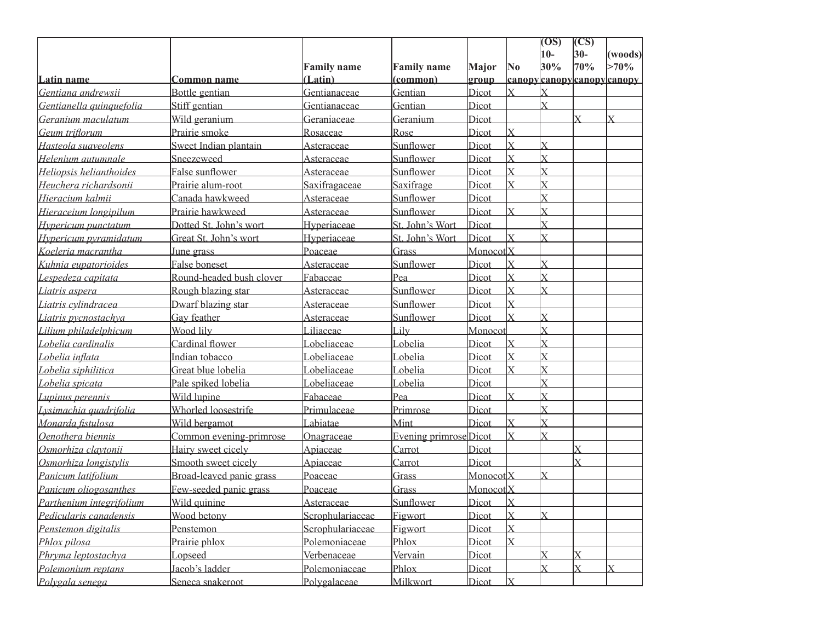|                          |                          |                    |                               |                        |                           | $\overline{(\overline{OS})}$ | (CS)  |                                     |
|--------------------------|--------------------------|--------------------|-------------------------------|------------------------|---------------------------|------------------------------|-------|-------------------------------------|
|                          |                          |                    |                               |                        |                           | $10-$                        | $30-$ | (woods)                             |
|                          |                          | <b>Family name</b> | <b>Family name</b>            | Major                  | $\overline{\text{No}}$    | 30%                          | 70%   | $>70\%$                             |
| Latin name               | <b>Common name</b>       | (Latin)            | (common)                      | group                  |                           |                              |       | <u> canopy canopy canopy canopy</u> |
| Gentiana andrewsii       | Bottle gentian           | Gentianaceae       | Gentian                       | Dicot                  | $\overline{X}$            | $\mathbf{X}$                 |       |                                     |
| Gentianella quinquefolia | Stiff gentian            | Gentianaceae       | Gentian                       | Dicot                  |                           | $\bar{x}$                    |       |                                     |
| Geranium maculatum       | Wild geranium            | Geraniaceae        | Geranium                      | Dicot                  |                           |                              | Y     | X                                   |
| Geum triflorum           | Prairie smoke            | Rosaceae           | Rose                          | Dicot                  | X                         |                              |       |                                     |
| Hasteola suaveolens      | Sweet Indian plantain    | Asteraceae         | Sunflower                     | Dicot                  | $\overline{X}$            | $\overline{X}$               |       |                                     |
| Helenium autumnale       | Sneezeweed               | Asteraceae         | Sunflower                     | Dicot                  | $\overline{\mathrm{X}}$   | $\overline{X}$               |       |                                     |
| Heliopsis helianthoides  | False sunflower          | Asteraceae         | Sunflower                     | Dicot                  | $\overline{\mathrm{X}}$   | $\overline{X}$               |       |                                     |
| Heuchera richardsonii    | Prairie alum-root        | Saxifragaceae      | Saxifrage                     | Dicot                  | $\overline{\mathbf{x}}$   | $\bar{X}$                    |       |                                     |
| Hieracium kalmii         | Canada hawkweed          | Asteraceae         | Sunflower                     | Dicot                  |                           | $\bar{X}$                    |       |                                     |
| Hieraceium longipilum    | Prairie hawkweed         | Asteraceae         | Sunflower                     | Dicot                  | $\mathbf x$               | $\bar{X}$                    |       |                                     |
| Hypericum punctatum      | Dotted St. John's wort   | Hyperiaceae        | St. John's Wort               | Dicot                  |                           | $\bar{x}$                    |       |                                     |
| Hypericum pyramidatum    | Great St. John's wort    | Hyperiaceae        | St. John's Wort               | Dicot                  | $\bar{\mathbf{x}}$        | $\bar{X}$                    |       |                                     |
| Koeleria macrantha       | June grass               | Poaceae            | Grass                         | MonocotlX              |                           |                              |       |                                     |
| Kuhnia eupatorioides     | False boneset            | Asteraceae         | Sunflower                     | Dicot                  | $\overline{X}$            | $\overline{X}$               |       |                                     |
| Lespedeza capitata       | Round-headed bush clover | Fabaceae           | Pea                           | Dicot                  | $\overline{\mathrm{X}}$   | $\overline{X}$               |       |                                     |
| Liatris aspera           | Rough blazing star       | Asteraceae         | Sunflower                     | Dicot                  | $\overline{\mathbf{x}}$   | $\bar{X}$                    |       |                                     |
| Liatris cylindracea      | Dwarf blazing star       | Asteraceae         | Sunflower                     | Dicot                  | $\overline{X}$            |                              |       |                                     |
| Liatris pycnostachya     | Gay feather              | Asteraceae         | Sunflower                     | Dicot                  | $\bar{x}$                 | $\overline{X}$               |       |                                     |
| Lilium philadelphicum    | Wood lily                | Liliaceae          | Lily                          | Monocot                |                           | $\overline{X}$               |       |                                     |
| Lobelia cardinalis       | Cardinal flower          | Lobeliaceae        | obelia                        | Dicot                  | $\overline{\mathrm{X}}$   | $\overline{X}$               |       |                                     |
| Lobelia inflata          | Indian tobacco           | Lobeliaceae        | obelia                        | Dicot                  | $\overline{X}$            | $\bar{X}$                    |       |                                     |
| Lobelia siphilitica      | Great blue lobelia       | Lobeliaceae        | Lobelia                       | Dicot                  | $\overline{X}$            | $\overline{X}$               |       |                                     |
| Lobelia spicata          | Pale spiked lobelia      | Lobeliaceae        | Lobelia                       | Dicot                  |                           | $\bar{X}$                    |       |                                     |
| Lupinus perennis         | Wild lupine              | Fabaceae           | Pea                           | Dicot                  | $\overline{\mathbf{x}}$   | $\bar{X}$                    |       |                                     |
| Lysimachia quadrifolia   | Whorled loosestrife      | Primulaceae        | Primrose                      | Dicot                  |                           | $\bar{X}$                    |       |                                     |
| Monarda fistulosa        | Wild bergamot            | Labiatae           | Mint                          | Dicot                  | $\overline{X}$            | $\bar{x}$                    |       |                                     |
| Oenothera biennis        | Common evening-primrose  | Onagraceae         | <b>Evening primrose</b> Dicot |                        | $\overline{\mathrm{X}}$   |                              |       |                                     |
| Osmorhiza clavtonii      | Hairy sweet cicely       | Apiaceae           | Carrot                        | Dicot                  |                           |                              |       |                                     |
| Osmorhiza longistylis    | Smooth sweet cicely      | Apiaceae           | Carrot                        | Dicot                  |                           |                              | Ý     |                                     |
| Panicum latifolium       | Broad-leaved panic grass | Poaceae            | Grass                         | MonocotlX              |                           | $\overline{X}$               |       |                                     |
| Panicum oliogosanthes    | Few-seeded panic grass   | Poaceae            | Grass                         | Monocot <sup>I</sup> X |                           |                              |       |                                     |
| Parthenium integrifolium | Wild quinine             | Asteraceae         | Sunflower                     | Dicot                  | $\overline{\mathbf{x}}$   |                              |       |                                     |
| Pedicularis canadensis   | Wood betony              | Scrophulariaceae   | Figwort                       | Dicot                  | $\boldsymbol{\mathrm{X}}$ | lx                           |       |                                     |
| Penstemon digitalis      | Penstemon                | Scrophulariaceae   | Figwort                       | Dicot                  | $\overline{X}$            |                              |       |                                     |
| Phlox pilosa             | Prairie phlox            | Polemoniaceae      | Phlox                         | Dicot                  | $\mathbf x$               |                              |       |                                     |
| Phryma leptostachya      | Lopseed                  | Verbenaceae        | Vervain                       | Dicot                  |                           | $\overline{\text{X}}$        |       |                                     |
| Polemonium reptans       | Jacob's ladder           | Polemoniaceae      | Phlox                         | Dicot                  |                           | $\overline{X}$               |       |                                     |
| Polygala senega          | Seneca snakeroot         | Polygalaceae       | Milkwort                      | Dicot                  | lx                        |                              |       |                                     |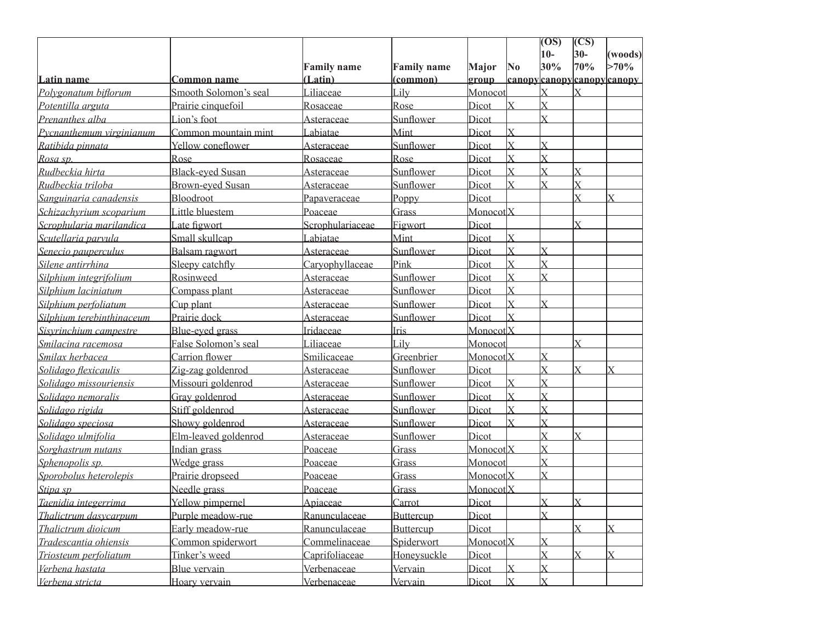|                           |                         |                    |                    |                        |                         | $\overline{O(S)}$       | (CS)                    |                          |
|---------------------------|-------------------------|--------------------|--------------------|------------------------|-------------------------|-------------------------|-------------------------|--------------------------|
|                           |                         |                    |                    |                        |                         | $10-$                   | $30-$                   | (woods)                  |
|                           |                         | <b>Family name</b> | <b>Family name</b> | Major                  | $\overline{\text{No}}$  | 30%                     | 70%                     | $>70\%$                  |
| Latin name                | <b>Common name</b>      | (Latin)            | (common)           | group                  |                         | $\overline{\mathrm{x}}$ |                         | canopycanopycanopycanopy |
| Polvgonatum biflorum      | Smooth Solomon's seal   | Liliaceae          | Lily               | Monocot                | lx                      | $\bar{X}$               |                         |                          |
| Potentilla arguta         | Prairie cinquefoil      | Rosaceae           | Rose               | Dicot                  |                         | $\bar{x}$               |                         |                          |
| Prenanthes alba           | Lion's foot             | Asteraceae         | Sunflower          | Dicot                  |                         |                         |                         |                          |
| Pycnanthemum virginianum  | Common mountain mint    | Labiatae           | Mint               | Dicot                  | $\overline{\mathrm{X}}$ |                         |                         |                          |
| Ratibida pinnata          | Yellow coneflower       | Asteraceae         | Sunflower          | Dicot                  | $\overline{X}$          | $\overline{X}$          |                         |                          |
| Rosa sp.                  | Rose                    | Rosaceae           | Rose               | Dicot                  | $\overline{\mathrm{X}}$ | $\overline{X}$          |                         |                          |
| Rudbeckia hirta           | <b>Black-eyed Susan</b> | Asteraceae         | Sunflower          | Dicot                  | $\overline{\mathrm{X}}$ | $\overline{X}$          | $\overline{\mathsf{X}}$ |                          |
| Rudbeckia triloba         | <b>Brown-eyed Susan</b> | Asteraceae         | Sunflower          | Dicot                  | $\overline{\mathbf{x}}$ | $\bar{X}$               | X                       |                          |
| Sanguinaria canadensis    | Bloodroot               | Papaveraceae       | Poppy              | Dicot                  |                         |                         | Y                       | $\overline{X}$           |
| Schizachyrium scoparium   | Little bluestem         | Poaceae            | Grass              | Monocot <sup> </sup> X |                         |                         |                         |                          |
| Scrophularia marilandica  | Late figwort            | Scrophulariaceae   | Figwort            | Dicot                  |                         |                         |                         |                          |
| Scutellaria parvula       | Small skullcap          | Labiatae           | Mint               | Dicot                  | $\overline{X}$          |                         |                         |                          |
| Senecio pauperculus       | Balsam ragwort          | Asteraceae         | Sunflower          | Dicot                  | $\overline{X}$          | $\overline{X}$          |                         |                          |
| Silene antirrhina         | Sleepy catchfly         | Caryophyllaceae    | Pink               | Dicot                  | X                       | $\bar{X}$               |                         |                          |
| Silphium integrifolium    | Rosinweed               | Asteraceae         | Sunflower          | Dicot                  | $\overline{\mathrm{X}}$ | ΙX                      |                         |                          |
| Silphium laciniatum       | Compass plant           | Asteraceae         | Sunflower          | Dicot                  | $\overline{\mathrm{X}}$ |                         |                         |                          |
| Silphium perfoliatum      | Cup plant               | Asteraceae         | Sunflower          | Dicot                  | $\overline{X}$          | $\bar{X}$               |                         |                          |
| Silphium terebinthinaceum | Prairie dock            | Asteraceae         | Sunflower          | Dicot                  | $\bar{\mathbf{x}}$      |                         |                         |                          |
| Sisyrinchium campestre    | Blue-eyed grass         | Iridaceae          | Iris               | MonocotlX              |                         |                         |                         |                          |
| Smilacina racemosa        | False Solomon's seal    | Liliaceae          | Lily               | Monocot                |                         |                         | Y                       |                          |
| Smilax herbacea           | <b>Carrion</b> flower   | Smilicaceae        | Greenbrier         | Monocot <sup> </sup> X |                         | $\overline{X}$          |                         |                          |
| Solidago flexicaulis      | Zig-zag goldenrod       | Asteraceae         | Sunflower          | Dicot                  |                         | $\bar{X}$               |                         |                          |
| Solidago missouriensis    | Missouri goldenrod      | Asteraceae         | Sunflower          | Dicot                  | lx                      | $\overline{X}$          |                         |                          |
| Solidago nemoralis        | Gray goldenrod          | Asteraceae         | Sunflower          | Dicot                  | $\overline{\mathrm{X}}$ | $\bar{X}$               |                         |                          |
| Solidago rigida           | Stiff goldenrod         | Asteraceae         | Sunflower          | Dicot                  | $\overline{X}$          | $\bar{X}$               |                         |                          |
| Solidago speciosa         | Showy goldenrod         | Asteraceae         | Sunflower          | Dicot                  | $\bar{x}$               | $\bar{X}$               |                         |                          |
| Solidago ulmifolia        | Elm-leaved goldenrod    | <u>Asteraceae</u>  | Sunflower          | Dicot                  |                         | $\overline{X}$          | $\mathbf x$             |                          |
| Sorghastrum nutans        | Indian grass            | Poaceae            | Grass              | MonocotlX              |                         | $\bar{X}$               |                         |                          |
| Sphenopolis sp.           | Wedge grass             | Poaceae            | Grass              | Monocot                |                         | $\bar{\mathbf{x}}$      |                         |                          |
| Sporobolus heterolepis    | Prairie dropseed        | Poaceae            | Grass              | MonocotlX              |                         | $\bar{\mathbf{x}}$      |                         |                          |
| Stipa sp                  | Needle grass            | Poaceae            | Grass              | Monocot <sub>IX</sub>  |                         |                         |                         |                          |
| Taenidia integerrima      | Yellow pimpernel        | Apiaceae           | Carrot             | Dicot                  |                         | lx                      | $\mathbf x$             |                          |
| Thalictrum dasycarpum     | Purple meadow-rue       | Ranunculaceae      | Buttercup          | Dicot                  |                         | $\overline{X}$          |                         |                          |
| Thalictrum dioicum        | Early meadow-rue        | Ranunculaceae      | Buttercup          | Dicot                  |                         |                         |                         |                          |
| Tradescantia ohiensis     | Common spiderwort       | Commelinaceae      | Spiderwort         | Monocot <sub>X</sub>   |                         | $\rm X$                 |                         |                          |
| Triosteum perfoliatum     | Tinker's weed           | Caprifoliaceae     | Honeysuckle        | Dicot                  |                         | $\overline{X}$          |                         |                          |
| Verbena hastata           | Blue vervain            | Verbenaceae        | Vervain            | Dicot                  | $\overline{\mathsf{x}}$ | X                       |                         |                          |
| Verbena stricta           | Hoary vervain           | Verbenaceae        | Vervain            | Dicot                  | X                       | lx                      |                         |                          |